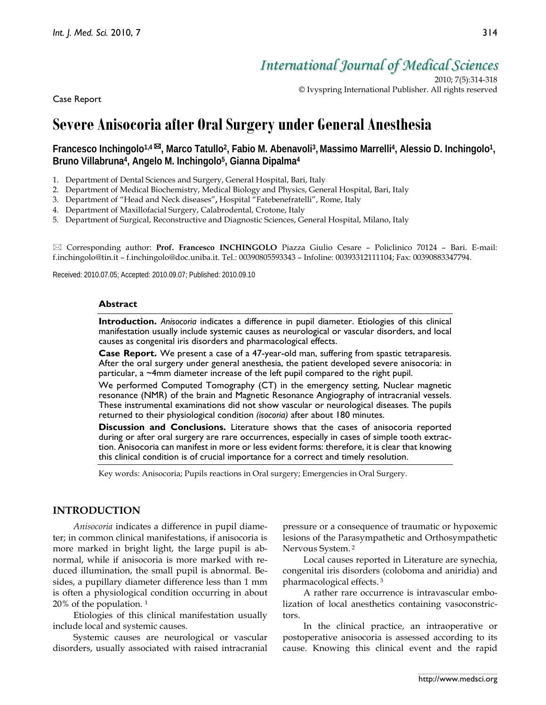*International Journal of Medical Sciences*

2010; 7(5):314-318 © Ivyspring International Publisher. All rights reserved

Case Report

# **Severe Anisocoria after Oral Surgery under General Anesthesia**

# **Francesco Inchingolo1,4 , Marco Tatullo2, Fabio M. Abenavoli3,Massimo Marrelli4, Alessio D. Inchingolo1, Bruno Villabruna4, Angelo M. Inchingolo5, Gianna Dipalma4**

- 1. Department of Dental Sciences and Surgery, General Hospital, Bari, Italy
- 2. Department of Medical Biochemistry, Medical Biology and Physics, General Hospital, Bari, Italy
- 3. Department of "Head and Neck diseases"**,** Hospital "Fatebenefratelli", Rome, Italy
- 4. Department of Maxillofacial Surgery, Calabrodental, Crotone, Italy
- 5. Department of Surgical, Reconstructive and Diagnostic Sciences, General Hospital, Milano, Italy

 Corresponding author: **Prof. Francesco INCHINGOLO** Piazza Giulio Cesare – Policlinico 70124 – Bari. E-mail: f.inchingolo@tin.it – f.inchingolo@doc.uniba.it. Tel.: 00390805593343 – Infoline: 00393312111104; Fax: 00390883347794.

Received: 2010.07.05; Accepted: 2010.09.07; Published: 2010.09.10

#### **Abstract**

**Introduction.** *Anisocoria* indicates a difference in pupil diameter. Etiologies of this clinical manifestation usually include systemic causes as neurological or vascular disorders, and local causes as congenital iris disorders and pharmacological effects.

**Case Report.** We present a case of a 47-year-old man, suffering from spastic tetraparesis. After the oral surgery under general anesthesia, the patient developed severe anisocoria: in particular, a ~4mm diameter increase of the left pupil compared to the right pupil.

We performed Computed Tomography (CT) in the emergency setting, Nuclear magnetic resonance (NMR) of the brain and Magnetic Resonance Angiography of intracranial vessels. These instrumental examinations did not show vascular or neurological diseases. The pupils returned to their physiological condition *(isocoria)* after about 180 minutes.

**Discussion and Conclusions.** Literature shows that the cases of anisocoria reported during or after oral surgery are rare occurrences, especially in cases of simple tooth extraction. Anisocoria can manifest in more or less evident forms: therefore, it is clear that knowing this clinical condition is of crucial importance for a correct and timely resolution.

Key words: Anisocoria; Pupils reactions in Oral surgery; Emergencies in Oral Surgery.

## **INTRODUCTION**

*Anisocoria* indicates a difference in pupil diameter; in common clinical manifestations, if anisocoria is more marked in bright light, the large pupil is abnormal, while if anisocoria is more marked with reduced illumination, the small pupil is abnormal. Besides, a pupillary diameter difference less than 1 mm is often a physiological condition occurring in about 20% of the population. 1

Etiologies of this clinical manifestation usually include local and systemic causes.

Systemic causes are neurological or vascular disorders, usually associated with raised intracranial

pressure or a consequence of traumatic or hypoxemic lesions of the Parasympathetic and Orthosympathetic Nervous System. <sup>2</sup>

Local causes reported in Literature are synechia, congenital iris disorders (coloboma and aniridia) and pharmacological effects. <sup>3</sup>

A rather rare occurrence is intravascular embolization of local anesthetics containing vasoconstrictors.

In the clinical practice, an intraoperative or postoperative anisocoria is assessed according to its cause. Knowing this clinical event and the rapid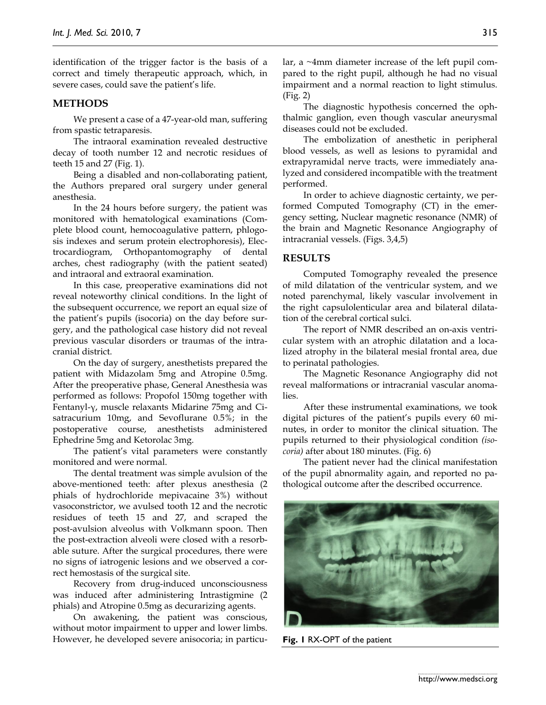identification of the trigger factor is the basis of a correct and timely therapeutic approach, which, in severe cases, could save the patient's life.

#### **METHODS**

We present a case of a 47-year-old man, suffering from spastic tetraparesis.

The intraoral examination revealed destructive decay of tooth number 12 and necrotic residues of teeth 15 and 27 (Fig. 1).

Being a disabled and non-collaborating patient, the Authors prepared oral surgery under general anesthesia.

In the 24 hours before surgery, the patient was monitored with hematological examinations (Complete blood count, hemocoagulative pattern, phlogosis indexes and serum protein electrophoresis), Electrocardiogram, Orthopantomography of dental arches, chest radiography (with the patient seated) and intraoral and extraoral examination.

In this case, preoperative examinations did not reveal noteworthy clinical conditions. In the light of the subsequent occurrence, we report an equal size of the patient's pupils (isocoria) on the day before surgery, and the pathological case history did not reveal previous vascular disorders or traumas of the intracranial district.

On the day of surgery, anesthetists prepared the patient with Midazolam 5mg and Atropine 0.5mg. After the preoperative phase, General Anesthesia was performed as follows: Propofol 150mg together with Fentanyl-γ, muscle relaxants Midarine 75mg and Cisatracurium 10mg, and Sevoflurane 0.5%; in the postoperative course, anesthetists administered Ephedrine 5mg and Ketorolac 3mg.

The patient's vital parameters were constantly monitored and were normal.

The dental treatment was simple avulsion of the above-mentioned teeth: after plexus anesthesia (2 phials of hydrochloride mepivacaine 3%) without vasoconstrictor, we avulsed tooth 12 and the necrotic residues of teeth 15 and 27, and scraped the post-avulsion alveolus with Volkmann spoon. Then the post-extraction alveoli were closed with a resorbable suture. After the surgical procedures, there were no signs of iatrogenic lesions and we observed a correct hemostasis of the surgical site.

Recovery from drug-induced unconsciousness was induced after administering Intrastigmine (2 phials) and Atropine 0.5mg as decurarizing agents.

On awakening, the patient was conscious, without motor impairment to upper and lower limbs. However, he developed severe anisocoria; in particular, a ~4mm diameter increase of the left pupil compared to the right pupil, although he had no visual impairment and a normal reaction to light stimulus. (Fig. 2)

The diagnostic hypothesis concerned the ophthalmic ganglion, even though vascular aneurysmal diseases could not be excluded.

The embolization of anesthetic in peripheral blood vessels, as well as lesions to pyramidal and extrapyramidal nerve tracts, were immediately analyzed and considered incompatible with the treatment performed.

In order to achieve diagnostic certainty, we performed Computed Tomography (CT) in the emergency setting, Nuclear magnetic resonance (NMR) of the brain and Magnetic Resonance Angiography of intracranial vessels. (Figs. 3,4,5)

# **RESULTS**

Computed Tomography revealed the presence of mild dilatation of the ventricular system, and we noted parenchymal, likely vascular involvement in the right capsulolenticular area and bilateral dilatation of the cerebral cortical sulci.

The report of NMR described an on-axis ventricular system with an atrophic dilatation and a localized atrophy in the bilateral mesial frontal area, due to perinatal pathologies.

The Magnetic Resonance Angiography did not reveal malformations or intracranial vascular anomalies.

After these instrumental examinations, we took digital pictures of the patient's pupils every 60 minutes, in order to monitor the clinical situation. The pupils returned to their physiological condition *(isocoria)* after about 180 minutes. (Fig. 6)

The patient never had the clinical manifestation of the pupil abnormality again, and reported no pathological outcome after the described occurrence.



**Fig. 1** RX-OPT of the patient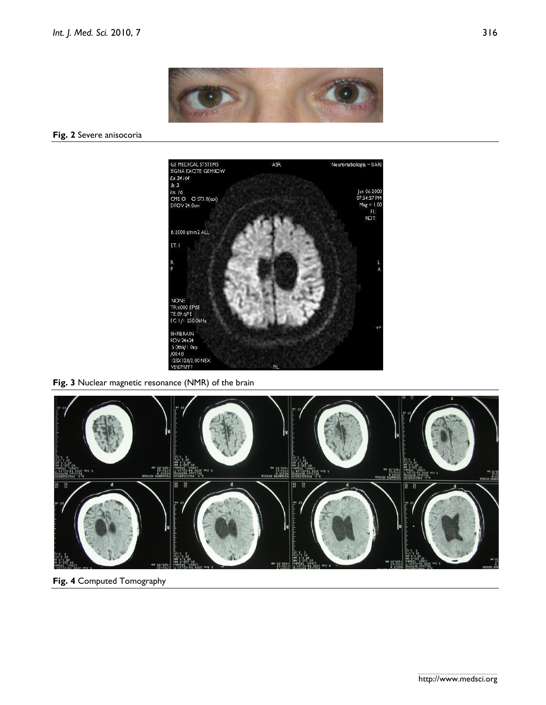

#### **Fig. 2** Severe anisocoria



**Fig. 3** Nuclear magnetic resonance (NMR) of the brain



**Fig. 4** Computed Tomography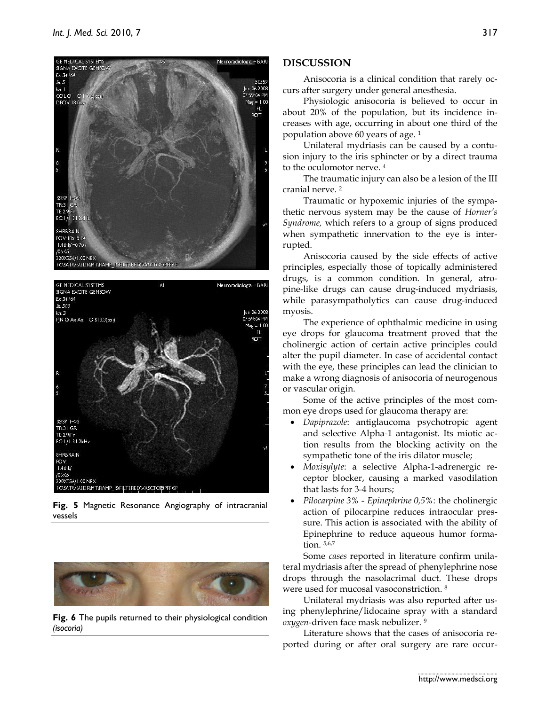



**Fig. 5** Magnetic Resonance Angiography of intracranial vessels



**Fig. 6** The pupils returned to their physiological condition *(isocoria)* 

# **DISCUSSION**

Anisocoria is a clinical condition that rarely occurs after surgery under general anesthesia.

Physiologic anisocoria is believed to occur in about 20% of the population, but its incidence increases with age, occurring in about one third of the population above 60 years of age. 1

Unilateral mydriasis can be caused by a contusion injury to the iris sphincter or by a direct trauma to the oculomotor nerve. 4

The traumatic injury can also be a lesion of the III cranial nerve. 2

Traumatic or hypoxemic injuries of the sympathetic nervous system may be the cause of *Horner's Syndrome,* which refers to a group of signs produced when sympathetic innervation to the eye is interrupted.

Anisocoria caused by the side effects of active principles, especially those of topically administered drugs, is a common condition. In general, atropine-like drugs can cause drug-induced mydriasis, while parasympatholytics can cause drug-induced myosis.

The experience of ophthalmic medicine in using eye drops for glaucoma treatment proved that the cholinergic action of certain active principles could alter the pupil diameter. In case of accidental contact with the eye, these principles can lead the clinician to make a wrong diagnosis of anisocoria of neurogenous or vascular origin.

Some of the active principles of the most common eye drops used for glaucoma therapy are:

- *Dapiprazole*: antiglaucoma psychotropic agent and selective Alpha*-*1 antagonist. Its miotic action results from the blocking activity on the sympathetic tone of the iris dilator muscle;
- *Moxisylyte*: a selective Alpha-1-adrenergic receptor blocker, causing a marked vasodilation that lasts for 3-4 hours;
- *Pilocarpine 3% Epinephrine 0,5%*: the cholinergic action of pilocarpine reduces intraocular pressure. This action is associated with the ability of Epinephrine to reduce aqueous humor formation. 5,6,7

Some *cases* reported in literature confirm unilateral mydriasis after the spread of phenylephrine nose drops through the nasolacrimal duct. These drops were used for mucosal vasoconstriction. 8

Unilateral mydriasis was also reported after using phenylephrine/lidocaine spray with a standard *oxygen*-driven face mask nebulizer. 9

Literature shows that the cases of anisocoria reported during or after oral surgery are rare occur